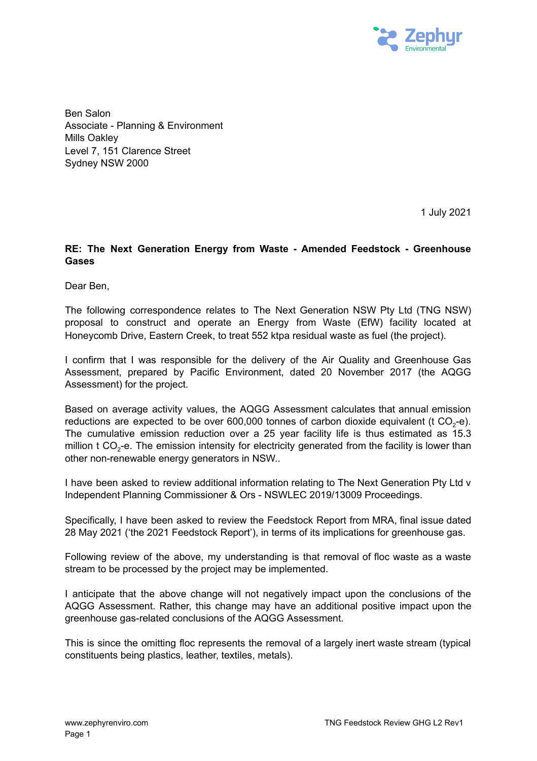

Ben Salon Associate - Planning & Environment Mills Oakley Level 7, 151 Clarence Street Sydney NSW 2000

1 July 2021

## **RE: The Next Generation Energy from Waste - Amended Feedstock - Greenhouse Gases**

Dear Ben,

The following correspondence relates to The Next Generation NSW Pty Ltd (TNG NSW) proposal to construct and operate an Energy from Waste (EfW) facility located at Honeycomb Drive, Eastern Creek, to treat 552 ktpa residual waste as fuel (the project).

I confirm that I was responsible for the delivery of the Air Quality and Greenhouse Gas Assessment, prepared by Pacific Environment, dated 20 November 2017 (the AQGG Assessment) for the project.

Based on average activity values, the AQGG Assessment calculates that annual emission reductions are expected to be over 600,000 tonnes of carbon dioxide equivalent (t CO<sub>2</sub>-e). The cumulative emission reduction over a 25 year facility life is thus estimated as 15.3 million  $\mathsf{t}$  CO<sub>2</sub>-e. The emission intensity for electricity generated from the facility is lower than other non-renewable energy generators in NSW..

I have been asked to review additional information relating to The Next Generation Pty Ltd v Independent Planning Commissioner & Ors - NSWLEC 2019/13009 Proceedings.

Specifically, I have been asked to review the Feedstock Report from MRA, final issue dated 28 May 2021 ('the 2021 Feedstock Report'), in terms of its implications for greenhouse gas.

Following review of the above, my understanding is that removal of floc waste as a waste stream to be processed by the project may be implemented.

I anticipate that the above change will not negatively impact upon the conclusions of the AQGG Assessment. Rather, this change may have an additional positive impact upon the greenhouse gas-related conclusions of the AQGG Assessment.

This is since the omitting floc represents the removal of a largely inert waste stream (typical constituents being plastics, leather, textiles, metals).